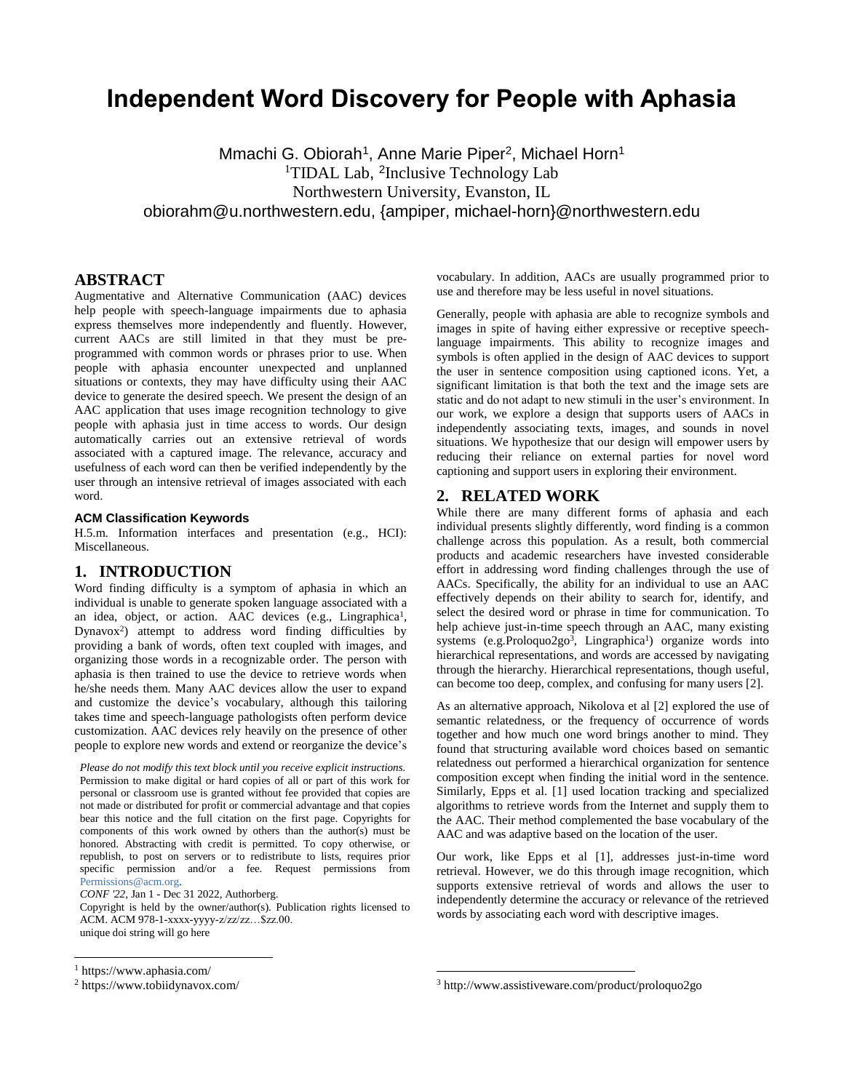# **Independent Word Discovery for People with Aphasia**

Mmachi G. Obiorah<sup>1</sup>, Anne Marie Piper<sup>2</sup>, Michael Horn<sup>1</sup> <sup>1</sup>TIDAL Lab, <sup>2</sup>Inclusive Technology Lab Northwestern University, Evanston, IL obiorahm@u.northwestern.edu, {ampiper, michael-hor[n}@northwestern.edu](mailto:%7D@northwestern.edu)

# **ABSTRACT**

Augmentative and Alternative Communication (AAC) devices help people with speech-language impairments due to aphasia express themselves more independently and fluently. However, current AACs are still limited in that they must be preprogrammed with common words or phrases prior to use. When people with aphasia encounter unexpected and unplanned situations or contexts, they may have difficulty using their AAC device to generate the desired speech. We present the design of an AAC application that uses image recognition technology to give people with aphasia just in time access to words. Our design automatically carries out an extensive retrieval of words associated with a captured image. The relevance, accuracy and usefulness of each word can then be verified independently by the user through an intensive retrieval of images associated with each word.

### **ACM Classification Keywords**

H.5.m. Information interfaces and presentation (e.g., HCI): Miscellaneous.

## **1. INTRODUCTION**

Word finding difficulty is a symptom of aphasia in which an individual is unable to generate spoken language associated with a an idea, object, or action. AAC devices (e.g., Lingraphica<sup>1</sup>, Dynavox<sup>2</sup>) attempt to address word finding difficulties by providing a bank of words, often text coupled with images, and organizing those words in a recognizable order. The person with aphasia is then trained to use the device to retrieve words when he/she needs them. Many AAC devices allow the user to expand and customize the device's vocabulary, although this tailoring takes time and speech-language pathologists often perform device customization. AAC devices rely heavily on the presence of other people to explore new words and extend or reorganize the device's

*Please do not modify this text block until you receive explicit instructions.* Permission to make digital or hard copies of all or part of this work for personal or classroom use is granted without fee provided that copies are not made or distributed for profit or commercial advantage and that copies bear this notice and the full citation on the first page. Copyrights for components of this work owned by others than the author(s) must be honored. Abstracting with credit is permitted. To copy otherwise, or republish, to post on servers or to redistribute to lists, requires prior specific permission and/or a fee. Request permissions from [Permissions@acm.org.](mailto:Permissions@acm.org)

*CONF '22,* Jan 1 - Dec 31 2022, Authorberg.

Copyright is held by the owner/author(s). Publication rights licensed to ACM. ACM 978-1-xxxx-yyyy-z/zz/zz…\$zz.00. unique doi string will go here

 $\overline{a}$ 

vocabulary. In addition, AACs are usually programmed prior to use and therefore may be less useful in novel situations.

Generally, people with aphasia are able to recognize symbols and images in spite of having either expressive or receptive speechlanguage impairments. This ability to recognize images and symbols is often applied in the design of AAC devices to support the user in sentence composition using captioned icons. Yet, a significant limitation is that both the text and the image sets are static and do not adapt to new stimuli in the user's environment. In our work, we explore a design that supports users of AACs in independently associating texts, images, and sounds in novel situations. We hypothesize that our design will empower users by reducing their reliance on external parties for novel word captioning and support users in exploring their environment.

#### **2. RELATED WORK**

While there are many different forms of aphasia and each individual presents slightly differently, word finding is a common challenge across this population. As a result, both commercial products and academic researchers have invested considerable effort in addressing word finding challenges through the use of AACs. Specifically, the ability for an individual to use an AAC effectively depends on their ability to search for, identify, and select the desired word or phrase in time for communication. To help achieve just-in-time speech through an AAC, many existing systems (e.g.Proloquo2go<sup>3</sup>, Lingraphica<sup>1</sup>) organize words into hierarchical representations, and words are accessed by navigating through the hierarchy. Hierarchical representations, though useful, can become too deep, complex, and confusing for many users [2].

As an alternative approach, Nikolova et al [2] explored the use of semantic relatedness, or the frequency of occurrence of words together and how much one word brings another to mind. They found that structuring available word choices based on semantic relatedness out performed a hierarchical organization for sentence composition except when finding the initial word in the sentence. Similarly, Epps et al. [1] used location tracking and specialized algorithms to retrieve words from the Internet and supply them to the AAC. Their method complemented the base vocabulary of the AAC and was adaptive based on the location of the user.

Our work, like Epps et al [1], addresses just-in-time word retrieval. However, we do this through image recognition, which supports extensive retrieval of words and allows the user to independently determine the accuracy or relevance of the retrieved words by associating each word with descriptive images.

l

<sup>1</sup> https://www.aphasia.com/

<sup>2</sup> https://www.tobiidynavox.com/

<sup>3</sup> http://www.assistiveware.com/product/proloquo2go